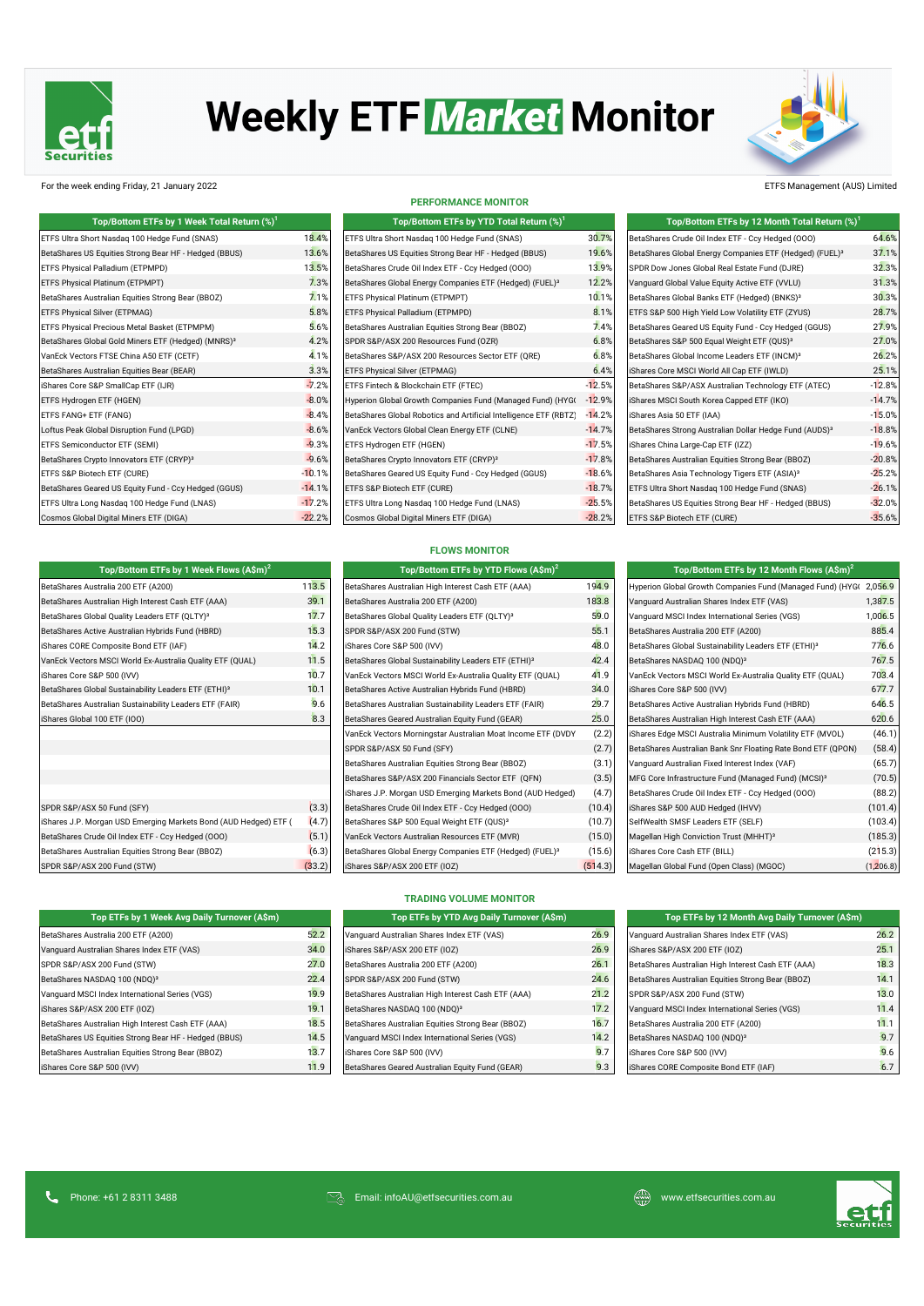

# **Weekly ETF Market Monitor**



For the week ending Friday, 21 January 2022 ETFS Management (AUS) Limited

| Top/Bottom ETFs by 1 Week Total Return $(\%)^1$                |                |
|----------------------------------------------------------------|----------------|
| ETFS Ultra Short Nasdag 100 Hedge Fund (SNAS)                  | $18.4^{\circ}$ |
| BetaShares US Equities Strong Bear HF - Hedged (BBUS)          | 13.6'          |
| ETFS Physical Palladium (ETPMPD)                               | $13.5^{\circ}$ |
| ETFS Physical Platinum (ETPMPT)                                | $7.3^{\circ}$  |
| BetaShares Australian Equities Strong Bear (BBOZ)              | 7.1            |
| ETFS Physical Silver (ETPMAG)                                  | 5.8            |
| ETFS Physical Precious Metal Basket (ETPMPM)                   | 5.6            |
| BetaShares Global Gold Miners ETF (Hedged) (MNRS) <sup>3</sup> | 4.2            |
| VanEck Vectors FTSE China A50 ETF (CETF)                       | 4.1            |
| BetaShares Australian Equities Bear (BEAR)                     | $3.3^{\circ}$  |
| iShares Core S&P SmallCap ETF (IJR)                            | $-7.2$         |
| ETFS Hydrogen ETF (HGEN)                                       | $-8.0$         |
| ETFS FANG+ ETF (FANG)                                          | $-8.4$         |
| Loftus Peak Global Disruption Fund (LPGD)                      | $-8.6$         |
| ETFS Semiconductor ETF (SEMI)                                  | $-9.3$         |
| BetaShares Crypto Innovators ETF (CRYP) <sup>3</sup>           | $-9.6$         |
| ETFS S&P Biotech ETF (CURE)                                    | $-10.1$        |
| BetaShares Geared US Equity Fund - Ccy Hedged (GGUS)           | $-14.1$        |
| ETFS Ultra Long Nasdag 100 Hedge Fund (LNAS)                   | $-17.2$        |
| Cosmos Global Digital Miners ETF (DIGA)                        | $-22.2$        |

| Top/Bottom ETFs by 1 Week Flows $(A\sin^2)$                      |       | Top/Bottom ETFs by YTD Flows (A\$m) <sup>2</sup>                    |        | Top/Bottom ETFs by 12 Month Flows $(A\$ m)^2                     |         |
|------------------------------------------------------------------|-------|---------------------------------------------------------------------|--------|------------------------------------------------------------------|---------|
| BetaShares Australia 200 ETF (A200)                              | 113.5 | BetaShares Australian High Interest Cash ETF (AAA)                  | 194.9  | Hyperion Global Growth Companies Fund (Managed Fund) (HYGO       | 2,056.9 |
| BetaShares Australian High Interest Cash ETF (AAA)               | 39.1  | BetaShares Australia 200 ETF (A200)                                 | 183.8  | Vanguard Australian Shares Index ETF (VAS)                       | 1,387.5 |
| BetaShares Global Quality Leaders ETF (QLTY) <sup>3</sup>        | 17.7  | BetaShares Global Quality Leaders ETF (QLTY) <sup>3</sup>           | 59.0   | Vanguard MSCI Index International Series (VGS)                   | 1,006.5 |
| BetaShares Active Australian Hybrids Fund (HBRD)                 | 15.3  | SPDR S&P/ASX 200 Fund (STW)                                         | 55.1   | BetaShares Australia 200 ETF (A200)                              | 885.4   |
| iShares CORE Composite Bond ETF (IAF)                            | 14.2  | iShares Core S&P 500 (IVV)                                          | 48.0   | BetaShares Global Sustainability Leaders ETF (ETHI) <sup>3</sup> | 776.6   |
| VanEck Vectors MSCI World Ex-Australia Quality ETF (QUAL)        | 11.5  | BetaShares Global Sustainability Leaders ETF (ETHI) <sup>3</sup>    | 42.4   | BetaShares NASDAQ 100 (NDQ) <sup>3</sup>                         | 767.5   |
| iShares Core S&P 500 (IVV)                                       | 10.7  | VanEck Vectors MSCI World Ex-Australia Quality ETF (QUAL)           | 41.9   | VanEck Vectors MSCI World Ex-Australia Quality ETF (QUAL)        | 703.4   |
| BetaShares Global Sustainability Leaders ETF (ETHI) <sup>3</sup> | 10.1  | BetaShares Active Australian Hybrids Fund (HBRD)                    | 34.0   | iShares Core S&P 500 (IVV)                                       | 677.7   |
| BetaShares Australian Sustainability Leaders ETF (FAIR)          | 9.6   | BetaShares Australian Sustainability Leaders ETF (FAIR)             | 29.7   | BetaShares Active Australian Hybrids Fund (HBRD)                 | 646.5   |
| iShares Global 100 ETF (IOO)                                     | 8.3   | BetaShares Geared Australian Equity Fund (GEAR)                     | 25.0   | BetaShares Australian High Interest Cash ETF (AAA)               | 620.6   |
|                                                                  |       | VanEck Vectors Morningstar Australian Moat Income ETF (DVDY         | (2.2)  | iShares Edge MSCI Australia Minimum Volatility ETF (MVOL)        | (46.1)  |
|                                                                  |       | SPDR S&P/ASX 50 Fund (SFY)                                          | (2.7)  | BetaShares Australian Bank Snr Floating Rate Bond ETF (QPON)     | (58.4)  |
|                                                                  |       | BetaShares Australian Equities Strong Bear (BBOZ)                   | (3.1)  | Vanguard Australian Fixed Interest Index (VAF)                   | (65.7)  |
|                                                                  |       | BetaShares S&P/ASX 200 Financials Sector ETF (QFN)                  | (3.5)  | MFG Core Infrastructure Fund (Managed Fund) (MCSI) <sup>3</sup>  | (70.5)  |
|                                                                  |       | iShares J.P. Morgan USD Emerging Markets Bond (AUD Hedged)          | (4.7)  | BetaShares Crude Oil Index ETF - Ccy Hedged (000)                | (88.2)  |
| SPDR S&P/ASX 50 Fund (SFY)                                       | (3.3) | BetaShares Crude Oil Index ETF - Ccy Hedged (000)                   | (10.4) | iShares S&P 500 AUD Hedged (IHVV)                                | (101.4) |
| iShares J.P. Morgan USD Emerging Markets Bond (AUD Hedged) ETF ( | (4.7) | BetaShares S&P 500 Equal Weight ETF (QUS) <sup>3</sup>              | (10.7) | SelfWealth SMSF Leaders ETF (SELF)                               | (103.4) |
| BetaShares Crude Oil Index ETF - Ccy Hedged (000)                | (5.1) | VanEck Vectors Australian Resources ETF (MVR)                       | (15.0) | Magellan High Conviction Trust (MHHT) <sup>3</sup>               | (185.3) |
| BetaShares Australian Equities Strong Bear (BBOZ)                | (6.3) | BetaShares Global Energy Companies ETF (Hedged) (FUEL) <sup>3</sup> | (15.6) | iShares Core Cash ETF (BILL)                                     | (215.3) |
|                                                                  |       |                                                                     |        |                                                                  |         |

| Top ETFs by 1 Week Avg Daily Turnover (A\$m)          |      |
|-------------------------------------------------------|------|
| BetaShares Australia 200 ETF (A200)                   | 52.  |
| Vanquard Australian Shares Index ETF (VAS)            | 34.  |
| SPDR S&P/ASX 200 Fund (STW)                           | 27.1 |
| BetaShares NASDAQ 100 (NDQ) <sup>3</sup>              | 22.  |
| Vanquard MSCI Index International Series (VGS)        | 19.  |
| iShares S&P/ASX 200 ETF (IOZ)                         | 19.  |
| BetaShares Australian High Interest Cash ETF (AAA)    | 18.  |
| BetaShares US Equities Strong Bear HF - Hedged (BBUS) | 14.  |
| BetaShares Australian Equities Strong Bear (BBOZ)     | 13.  |
| iShares Core S&P 500 (IVV)                            | 11.  |

#### **PERFORMANCE MONITOR**

| Top/Bottom ETFs by YTD Total Return $(\%)^1$                        |                 |
|---------------------------------------------------------------------|-----------------|
| ETFS Ultra Short Nasdag 100 Hedge Fund (SNAS)                       | 30.79           |
| BetaShares US Equities Strong Bear HF - Hedged (BBUS)               | 19.69           |
| BetaShares Crude Oil Index ETF - Ccy Hedged (OOO)                   | 13.99           |
| BetaShares Global Energy Companies ETF (Hedged) (FUEL) <sup>3</sup> | $12.2^{\circ}$  |
| ETFS Physical Platinum (ETPMPT)                                     | 10.19           |
| ETFS Physical Palladium (ETPMPD)                                    | $8.1^{\circ}$   |
| BetaShares Australian Equities Strong Bear (BBOZ)                   | $7.4^\circ$     |
| SPDR S&P/ASX 200 Resources Fund (OZR)                               | $6.8^{\circ}$   |
| BetaShares S&P/ASX 200 Resources Sector ETF (QRE)                   | $6.8^\circ$     |
| ETFS Physical Silver (ETPMAG)                                       | 6.4°            |
| ETFS Fintech & Blockchain ETF (FTEC)                                | $-12.5^{\circ}$ |
| Hyperion Global Growth Companies Fund (Managed Fund) (HYG)          | $-12.99$        |
| BetaShares Global Robotics and Artificial Intelligence ETF (RBTZ)   | $-14.2^{\circ}$ |
| VanEck Vectors Global Clean Energy ETF (CLNE)                       | $-14.79$        |
| ETFS Hydrogen ETF (HGEN)                                            | $-17.5^{\circ}$ |
| BetaShares Crypto Innovators ETF (CRYP) <sup>3</sup>                | $-17.89$        |
| BetaShares Geared US Equity Fund - Ccy Hedged (GGUS)                | $-18.6^{\circ}$ |
| ETFS S&P Biotech ETF (CURE)                                         | $-18.7^{\circ}$ |
| ETFS Ultra Long Nasdag 100 Hedge Fund (LNAS)                        | $-25.5^{\circ}$ |
| Cosmos Global Digital Miners ETF (DIGA)                             | $-28.2^{\circ}$ |

## BetaShares Crude Oil Index ETF - Ccy Hedged (OOO) 64.6% BetaShares Global Energy Companies ETF (Hedged) (FUEL)<sup>3</sup> 37.1% **ETFIND 13.5 Shares Crude Pallacies Crude Of DRP**<br>SPDR Dow Jones Global Real Estate Fund (DJRE) 32.3% Punguard Global Value Equity Active ETF (VVLU) 31.3% BetaShares Global Banks ETF (VBLOR)<br>12.3% BetaShares Global Banks ETF (Hedged) (BNKS) BetaShares Global Banks ETF (Hedged) (BNKS)<sup>3</sup> ETFS S&P 500 High Yield Low Volatility ETF (ZYUS) 28.7% BetaShares Geared US Equity Fund - Ccy Hedged (GGUS) 27.9%  $B$ etaShares S&P 500 Equal Weight ETF (OUS)<sup>3</sup>  $27.0\%$ BetaShares Global Income Leaders ETF (INCM) $^3$  26.2% iShares Core MSCI World All Cap ETF (IWLD) 3.3.1% RetaShares S&P/ASX Australian Technology ETF (ATEC) -----------------------------<br>BetaShares S&P/ASX Australian Technology ETF (ATEC) AUD ETFS Hydrogen ETF (HGEN) -8.0% Hyperion Global Growth Companies Fund (Managed Fund) (HYGG -12.9% iShares MSCI South Korea Capped ETF (IKO) -14.7% aud Ethelia BetaShares Asia 50 ETF (IAA) -8.4% BetaShares Asia 50 ETF (IAA) -15.0% iShares Asia 50 ETF (IAA) -1 BetaShares Strong Australian Dollar Hedge Fund (AUDS)<sup>3</sup> -18.8% GTA ETFS Semiconductor ETF (SEMI) -9.3% ETFS Hydrogen ETF (HGEN) -17.5% iShares China Large-Cap ETF (IZZ) -19.6% SPX BetaShares Crypto Innovators ETF (CRYP)³ -9.6% BetaShares Crypto Innovators ETF (CRYP)³ -17.8% BetaShares Australian Equities Strong Bear (BBOZ) -20.8% BetaShares Asia Technology Tigers ETF (ASIA) $^3$  -25.2% -25.2% ETFS Ultra Short Nasdaq 100 Hedge Fund (SNAS) -126.1% BetaShares US Equities Strong Bear HF - Hedged (BBUS) ---------------------------JPY Cosmos Global Digital Miners ETF (DIGA) -22.2% Cosmos Global Digital Miners ETF (DIGA) -28.2% ETFS S&P Biotech ETF (CURE) -35.6% **Top/Bottom ETFs by 1 Week Total Return (%)<sup>1</sup> Top/Bottom ETFs by 12 Month Total Return (%)<sup>1</sup> Top/Bottom ETFs by YTD Total Return (%)<sup>1</sup>**

### **FLOWS MONITOR**

| Top/Bottom ETFs by 1 Week Flows $(A \hat{S}m)^2$                 |        | Top/Bottom ETFs by YTD Flows (A\$m) <sup>2</sup>                    |         | Top/Bottom ETFs by 12 Month Flows (A\$m)                         |
|------------------------------------------------------------------|--------|---------------------------------------------------------------------|---------|------------------------------------------------------------------|
| BetaShares Australia 200 ETF (A200)                              | 113.5  | BetaShares Australian High Interest Cash ETF (AAA)                  | 194.9   | Hyperion Global Growth Companies Fund (Managed Fund) (HY         |
| BetaShares Australian High Interest Cash ETF (AAA)               | 39.1   | BetaShares Australia 200 ETF (A200)                                 | 183.8   | Vanguard Australian Shares Index ETF (VAS)                       |
| BetaShares Global Quality Leaders ETF (QLTY) <sup>3</sup>        | 17.7   | BetaShares Global Quality Leaders ETF (QLTY) <sup>3</sup>           | 59.0    | Vanguard MSCI Index International Series (VGS)                   |
| BetaShares Active Australian Hybrids Fund (HBRD)                 | 15.3   | SPDR S&P/ASX 200 Fund (STW)                                         | 55.1    | BetaShares Australia 200 ETF (A200)                              |
| iShares CORE Composite Bond ETF (IAF)                            | 14.2   | iShares Core S&P 500 (IVV)                                          | 48.0    | BetaShares Global Sustainability Leaders ETF (ETHI) <sup>3</sup> |
| VanEck Vectors MSCI World Ex-Australia Quality ETF (QUAL)        | 11.5   | BetaShares Global Sustainability Leaders ETF (ETHI) <sup>3</sup>    | 42.4    | BetaShares NASDAQ 100 (NDQ) <sup>3</sup>                         |
| iShares Core S&P 500 (IVV)                                       | 10.7   | VanEck Vectors MSCI World Ex-Australia Quality ETF (QUAL)           | 41.9    | VanEck Vectors MSCI World Ex-Australia Quality ETF (QUAL)        |
| BetaShares Global Sustainability Leaders ETF (ETHI) <sup>3</sup> | 10.1   | BetaShares Active Australian Hybrids Fund (HBRD)                    | 34.0    | iShares Core S&P 500 (IVV)                                       |
| BetaShares Australian Sustainability Leaders ETF (FAIR)          | 9.6    | BetaShares Australian Sustainability Leaders ETF (FAIR)             | 29.7    | BetaShares Active Australian Hybrids Fund (HBRD)                 |
| iShares Global 100 ETF (IOO)                                     | 8.3    | BetaShares Geared Australian Equity Fund (GEAR)                     | 25.0    | BetaShares Australian High Interest Cash ETF (AAA)               |
|                                                                  |        | VanEck Vectors Morningstar Australian Moat Income ETF (DVDY         | (2.2)   | iShares Edge MSCI Australia Minimum Volatility ETF (MVOL)        |
|                                                                  |        | SPDR S&P/ASX 50 Fund (SFY)                                          | (2.7)   | BetaShares Australian Bank Snr Floating Rate Bond ETF (QPON      |
|                                                                  |        | BetaShares Australian Equities Strong Bear (BBOZ)                   | (3.1)   | Vanguard Australian Fixed Interest Index (VAF)                   |
|                                                                  |        | BetaShares S&P/ASX 200 Financials Sector ETF (QFN)                  | (3.5)   | MFG Core Infrastructure Fund (Managed Fund) (MCSI) <sup>3</sup>  |
|                                                                  |        | iShares J.P. Morgan USD Emerging Markets Bond (AUD Hedged)          | (4.7)   | BetaShares Crude Oil Index ETF - Ccy Hedged (000)                |
| SPDR S&P/ASX 50 Fund (SFY)                                       | (3.3)  | BetaShares Crude Oil Index ETF - Ccy Hedged (000)                   | (10.4)  | iShares S&P 500 AUD Hedged (IHVV)                                |
| iShares J.P. Morgan USD Emerging Markets Bond (AUD Hedged) ETF ( | (4.7)  | BetaShares S&P 500 Equal Weight ETF (QUS) <sup>3</sup>              | (10.7)  | SelfWealth SMSF Leaders ETF (SELF)                               |
| BetaShares Crude Oil Index ETF - Ccy Hedged (000)                | (5.1)  | VanEck Vectors Australian Resources ETF (MVR)                       | (15.0)  | Magellan High Conviction Trust (MHHT) <sup>3</sup>               |
| BetaShares Australian Equities Strong Bear (BBOZ)                | (6.3)  | BetaShares Global Energy Companies ETF (Hedged) (FUEL) <sup>3</sup> | (15.6)  | iShares Core Cash ETF (BILL)                                     |
| SPDR S&P/ASX 200 Fund (STW)                                      | (33.2) | iShares S&P/ASX 200 ETF (IOZ)                                       | (514.3) | Magellan Global Fund (Open Class) (MGOC)                         |

| Top/Bottom ETFs by YTD Flows $(A\sin)^2$                            |        | Top/Bottom ETFs by 12 Month Flows $(A\sin^2)$                    |         |
|---------------------------------------------------------------------|--------|------------------------------------------------------------------|---------|
| BetaShares Australian High Interest Cash ETF (AAA)                  | 194.9  | Hyperion Global Growth Companies Fund (Managed Fund) (HYG(       | 2.056.9 |
| BetaShares Australia 200 ETF (A200)                                 | 183.8  | Vanguard Australian Shares Index ETF (VAS)                       | 1,387.5 |
| BetaShares Global Quality Leaders ETF (QLTY) <sup>3</sup>           | 59.0   | Vanquard MSCI Index International Series (VGS)                   | 1,006.5 |
| SPDR S&P/ASX 200 Fund (STW)                                         | 55.1   | BetaShares Australia 200 ETF (A200)                              | 885.4   |
| iShares Core S&P 500 (IVV)                                          | 48.0   | BetaShares Global Sustainability Leaders ETF (ETHI) <sup>3</sup> | 776.6   |
| BetaShares Global Sustainability Leaders ETF (ETHI) <sup>3</sup>    | 42.4   | BetaShares NASDAQ 100 (NDQ) <sup>3</sup>                         | 767.5   |
| VanEck Vectors MSCI World Ex-Australia Quality ETF (QUAL)           | 41.9   | VanEck Vectors MSCI World Ex-Australia Quality ETF (QUAL)        | 703.4   |
| BetaShares Active Australian Hybrids Fund (HBRD)                    | 34.0   | iShares Core S&P 500 (IVV)                                       | 677.7   |
| BetaShares Australian Sustainability Leaders ETF (FAIR)             | 29.7   | BetaShares Active Australian Hybrids Fund (HBRD)                 | 646.5   |
| BetaShares Geared Australian Equity Fund (GEAR)                     | 25.0   | BetaShares Australian High Interest Cash ETF (AAA)               | 620.6   |
| VanEck Vectors Morningstar Australian Moat Income ETF (DVDY         | (2.2)  | iShares Edge MSCI Australia Minimum Volatility ETF (MVOL)        | (46.1)  |
| SPDR S&P/ASX 50 Fund (SFY)                                          | (2.7)  | BetaShares Australian Bank Snr Floating Rate Bond ETF (QPON)     | (58.4)  |
| BetaShares Australian Equities Strong Bear (BBOZ)                   | (3.1)  | Vanguard Australian Fixed Interest Index (VAF)                   | (65.7)  |
| BetaShares S&P/ASX 200 Financials Sector ETF (QFN)                  | (3.5)  | MFG Core Infrastructure Fund (Managed Fund) (MCSI) <sup>3</sup>  | (70.5)  |
| iShares J.P. Morgan USD Emerging Markets Bond (AUD Hedged)          | (4.7)  | BetaShares Crude Oil Index ETF - Ccy Hedged (000)                | (88.2)  |
| BetaShares Crude Oil Index ETF - Ccy Hedged (000)                   | (10.4) | iShares S&P 500 AUD Hedged (IHVV)                                | (101.4) |
| BetaShares S&P 500 Equal Weight ETF (QUS) <sup>3</sup>              | (10.7) | SelfWealth SMSF Leaders ETF (SELF)                               | (103.4) |
| VanEck Vectors Australian Resources ETF (MVR)                       | (15.0) | Magellan High Conviction Trust (MHHT) <sup>3</sup>               | (185.3) |
| BetaShares Global Energy Companies ETF (Hedged) (FUEL) <sup>3</sup> | (15.6) | iShares Core Cash ETF (BILL)                                     | (215.3) |
| iCharge CODIACY 200 ETE (IOZ)                                       | (51A2) | Mogellan Clobal Fund (Open Close) (MCOC)                         | (12060) |

#### **TRADING VOLUME MONITOR**

| Top ETFs by 1 Week Avg Daily Turnover (A\$m)          |      | Top ETFs by YTD Avg Daily Turnover (A\$m)          |      | Top ETFs by 12 Month Avg Daily Turnover (A\$m)     |      |
|-------------------------------------------------------|------|----------------------------------------------------|------|----------------------------------------------------|------|
| BetaShares Australia 200 ETF (A200)                   | 52.2 | Vanquard Australian Shares Index ETF (VAS)         | 26.9 | Vanquard Australian Shares Index ETF (VAS)         | 26.2 |
| Vanquard Australian Shares Index ETF (VAS)            | 34.0 | iShares S&P/ASX 200 ETF (IOZ)                      | 26.9 | iShares S&P/ASX 200 ETF (IOZ)                      | 25.1 |
| SPDR S&P/ASX 200 Fund (STW)                           | 27.0 | BetaShares Australia 200 ETF (A200)                | 26.1 | BetaShares Australian High Interest Cash ETF (AAA) | 18.3 |
| BetaShares NASDAQ 100 (NDQ) <sup>3</sup>              | 22.4 | SPDR S&P/ASX 200 Fund (STW)                        | 24.6 | BetaShares Australian Equities Strong Bear (BBOZ)  | 14.1 |
| Vanquard MSCI Index International Series (VGS)        | 19.9 | BetaShares Australian High Interest Cash ETF (AAA) | 21.2 | SPDR S&P/ASX 200 Fund (STW)                        | 13(  |
| iShares S&P/ASX 200 ETF (IOZ)                         | 19.1 | BetaShares NASDAQ 100 (NDQ) <sup>3</sup>           | 17.2 | Vanquard MSCI Index International Series (VGS)     | 11.4 |
| BetaShares Australian High Interest Cash ETF (AAA)    | 18.5 | BetaShares Australian Equities Strong Bear (BBOZ)  | 16.7 | BetaShares Australia 200 ETF (A200)                | 11.1 |
| BetaShares US Equities Strong Bear HF - Hedged (BBUS) | 14.5 | Vanquard MSCI Index International Series (VGS)     | 14.2 | BetaShares NASDAQ 100 (NDQ) <sup>3</sup>           | 9.7  |
| BetaShares Australian Equities Strong Bear (BBOZ)     | 13.7 | iShares Core S&P 500 (IVV)                         | 9.7  | IShares Core S&P 500 (IVV)                         | 9.6  |
| iShares Core S&P 500 (IVV)                            | 11.9 | BetaShares Geared Australian Equity Fund (GEAR)    | 9.3  | iShares CORE Composite Bond ETF (IAF)              | 6.7  |

| Top ETFs by 12 Month Avg Daily Turnover (A\$m)     |      |
|----------------------------------------------------|------|
| Vanguard Australian Shares Index ETF (VAS)         | 26.2 |
| Shares S&P/ASX 200 ETF (IOZ)                       | 25.1 |
| BetaShares Australian High Interest Cash ETF (AAA) | 18.3 |
| BetaShares Australian Equities Strong Bear (BBOZ)  | 14.1 |
| SPDR S&P/ASX 200 Fund (STW)                        | 13.0 |
| Vanquard MSCI Index International Series (VGS)     | 11.4 |
| BetaShares Australia 200 ETF (A200)                | 11.1 |
| BetaShares NASDAQ 100 (NDQ) <sup>3</sup>           | 9.7  |
| Shares Core S&P 500 (IVV)                          | 9.6  |
| Shares CORE Composite Bond ETF (IAF)               | 6.7  |
|                                                    |      |